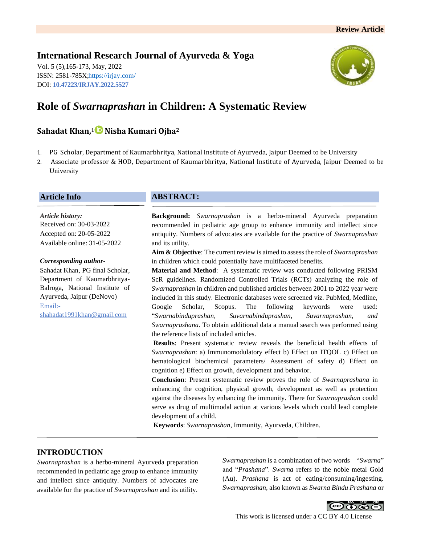# **International Research Journal of Ayurveda & Yoga**

Vol. 5 (5),165-173, May, 2022 ISSN: 2581-785X[; https://irjay.com/](https://irjay.com/) DOI: **10.47223/IRJAY.2022.5527**



# **Role of** *Swarnaprashan* **in Children: A Systematic Review**

# **Sahadat Khan, <sup>1</sup> Nisha Kumari Ojha<sup>2</sup>**

- 1. PG Scholar, Department of Kaumarbhritya, National Institute of Ayurveda, Jaipur Deemed to be University
- 2. Associate professor & HOD, Department of Kaumarbhritya, National Institute of Ayurveda, Jaipur Deemed to be University

# **Article Info**

*Article history:* Received on: 30-03-2022 Accepted on: 20-05-2022 Available online: 31-05-2022

#### *Corresponding author-*

Sahadat Khan, PG final Scholar, Department of Kaumarbhritya-Balroga, National Institute of Ayurveda, Jaipur (DeNovo) Email: shahadat1991khan@gmail.com

# **ABSTRACT:**

**Background:** *Swarnaprashan* is a herbo-mineral Ayurveda preparation recommended in pediatric age group to enhance immunity and intellect since antiquity. Numbers of advocates are available for the practice of *Swarnaprashan* and its utility.

**Aim & Objective**: The current review is aimed to assess the role of *Swarnaprashan* in children which could potentially have multifaceted benefits.

**Material and Method**: A systematic review was conducted following PRISM ScR guidelines. Randomized Controlled Trials (RCTs) analyzing the role of *Swarnaprashan* in children and published articles between 2001 to 2022 year were included in this study. Electronic databases were screened viz. PubMed, Medline, Google Scholar, Scopus. The following keywords were used: "*Swarnabinduprashan, Suvarnabinduprashan, Suvarnaprashan, and Swarnaprashana*. To obtain additional data a manual search was performed using the reference lists of included articles.

**Results**: Present systematic review reveals the beneficial health effects of *Swarnaprashan*: a) Immunomodulatory effect b) Effect on ITQOL c) Effect on hematological biochemical parameters/ Assessment of safety d) Effect on cognition e) Effect on growth, development and behavior.

**Conclusion**: Present systematic review proves the role of *Swarnaprashana* in enhancing the cognition, physical growth, development as well as protection against the diseases by enhancing the immunity. There for *Swarnaprashan* could serve as drug of multimodal action at various levels which could lead complete development of a child.

**Keywords**: *Swarnaprashan*, Immunity, Ayurveda, Children.

# **INTRODUCTION**

*Swarnaprashan* is a herbo-mineral Ayurveda preparation recommended in pediatric age group to enhance immunity and intellect since antiquity. Numbers of advocates are available for the practice of *Swarnaprashan* and its utility.

*Swarnaprashan* is a combination of two words – "*Swarna*" and "*Prashana*". *Swarna* refers to the noble metal Gold (Au). *Prashana* is act of eating/consuming/ingesting. *Swarnaprashan,* also known as *Swarna Bindu Prashana* or

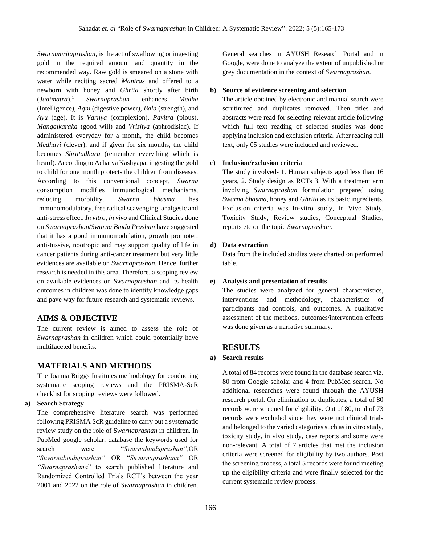*Swarnamritaprashan,* is the act of swallowing or ingesting gold in the required amount and quantity in the recommended way. Raw gold is smeared on a stone with water while reciting sacred *Mantras* and offered to a newborn with honey and *Ghrita* shortly after birth (*Jaatmatra*). <sup>1</sup> *Swarnaprashan* enhances *Medha*  (Intelligence), *Agni* (digestive power), *Bala* (strength), and *Ayu* (age). It is *Varnya* (complexion), *Pavitra* (pious), *Mangalkaraka* (good will) and *Vrishya* (aphrodisiac). If administered everyday for a month, the child becomes *Medhavi* (clever), and if given for six months, the child becomes *Shrutadhara* (remember everything which is heard). According to Acharya Kashyapa, ingesting the gold to child for one month protects the children from diseases. According to this conventional concept, *Swarna* consumption modifies immunological mechanisms, reducing morbidity. *Swarna bhasma* has immunomodulatory, free radical scavenging, analgesic and anti-stress effect. *In vitro*, *in vivo* and Clinical Studies done on *Swarnaprashan*/*Swarna Bindu Prashan* have suggested that it has a good immunomodulation, growth promoter, anti-tussive, nootropic and may support quality of life in cancer patients during anti-cancer treatment but very little evidences are available on *Swarnaprashan*. Hence, further research is needed in this area. Therefore, a scoping review on available evidences on *Swarnaprashan* and its health outcomes in children was done to identify knowledge gaps and pave way for future research and systematic reviews.

### **AIMS & OBJECTIVE**

The current review is aimed to assess the role of *Swarnaprashan* in children which could potentially have multifaceted benefits.

#### **MATERIALS AND METHODS**

The Joanna Briggs Institutes methodology for conducting systematic scoping reviews and the PRISMA-ScR checklist for scoping reviews were followed.

#### **a) Search Strategy**

The comprehensive literature search was performed following PRISMA ScR guideline to carry out a systematic review study on the role of S*warnaprashan* in children. In PubMed google scholar, database the keywords used for search were "*Swarnabinduprashan",*OR "*Suvarnabinduprashan"* OR "*Suvarnaprashana"* OR *"Swarnaprashana*" to search published literature and Randomized Controlled Trials RCT's between the year 2001 and 2022 on the role of *Swarnaprashan* in children.

General searches in AYUSH Research Portal and in Google, were done to analyze the extent of unpublished or grey documentation in the context of *Swarnaprashan*.

#### **b) Source of evidence screening and selection**

The article obtained by electronic and manual search were scrutinized and duplicates removed. Then titles and abstracts were read for selecting relevant article following which full text reading of selected studies was done applying inclusion and exclusion criteria. After reading full text, only 05 studies were included and reviewed.

#### c) **Inclusion/exclusion criteria**

The study involved- 1. Human subjects aged less than 16 years, 2. Study design as RCTs 3. With a treatment arm involving *Swarnaprashan* formulation prepared using *Swarna bhasma*, honey and *Ghrita* as its basic ingredients. Exclusion criteria was In-vitro study, In Vivo Study, Toxicity Study, Review studies, Conceptual Studies, reports etc on the topic *Swarnaprashan*.

#### **d) Data extraction**

Data from the included studies were charted on performed table.

#### **e) Analysis and presentation of results**

The studies were analyzed for general characteristics, interventions and methodology, characteristics of participants and controls, and outcomes. A qualitative assessment of the methods, outcomes/intervention effects was done given as a narrative summary.

### **RESULTS**

#### **a) Search results**

A total of 84 records were found in the database search viz. 80 from Google scholar and 4 from PubMed search. No additional researches were found through the AYUSH research portal. On elimination of duplicates, a total of 80 records were screened for eligibility. Out of 80, total of 73 records were excluded since they were not clinical trials and belonged to the varied categories such as in vitro study, toxicity study, in vivo study, case reports and some were non-relevant. A total of 7 articles that met the inclusion criteria were screened for eligibility by two authors. Post the screening process, a total 5 records were found meeting up the eligibility criteria and were finally selected for the current systematic review process.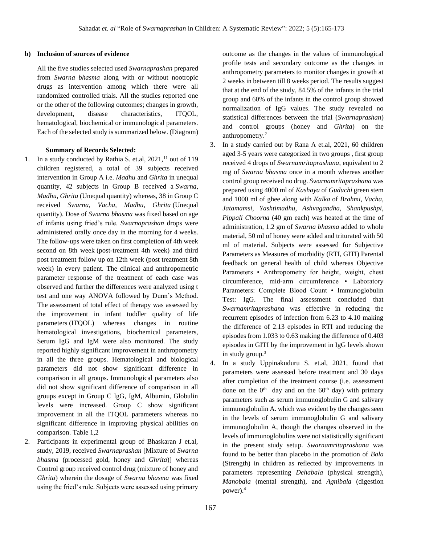#### **b) Inclusion of sources of evidence**

All the five studies selected used *Swarnaprashan* prepared from *Swarna bhasma* along with or without nootropic drugs as intervention among which there were all randomized controlled trials. All the studies reported one or the other of the following outcomes; changes in growth, development, disease characteristics, ITQOL, hematological, biochemical or immunological parameters. Each of the selected study is summarized below. (Diagram)

#### **Summary of Records Selected:**

- 1. In a study conducted by Rathia S. et.al, 2021,<sup>11</sup> out of 119 children registered, a total of 39 subjects received intervention in Group A i.e. *Madhu* and *Ghrita* in unequal quantity, 42 subjects in Group B received a *Swarna*, *Madhu*, *Ghrita* (Unequal quantity) whereas, 38 in Group C received *Swarna, Vacha, Madhu, Ghrita* (Unequal quantity). Dose of *Swarna bhasma* was fixed based on age of infants using fried's rule. *Swarnaprashan* drops were administered orally once day in the morning for 4 weeks. The follow-ups were taken on first completion of 4th week second on 8th week (post-treatment 4th week) and third post treatment follow up on 12th week (post treatment 8th week) in every patient. The clinical and anthropometric parameter response of the treatment of each case was observed and further the differences were analyzed using t test and one way ANOVA followed by Dunn's Method. The assessment of total effect of therapy was assessed by the improvement in infant toddler quality of life parameters (ITQOL) whereas changes in routine hematological investigations, biochemical parameters, Serum IgG and IgM were also monitored. The study reported highly significant improvement in anthropometry in all the three groups. Hematological and biological parameters did not show significant difference in comparison in all groups. Immunological parameters also did not show significant difference of comparison in all groups except in Group C IgG, IgM, Albumin, Globulin levels were increased. Group C show significant improvement in all the ITQOL parameters whereas no significant difference in improving physical abilities on comparison. Table 1,2
- 2. Participants in experimental group of Bhaskaran J et.al, study, 2019, received *Swarnaprashan* [Mixture of *Swarna bhasma* (processed gold, honey and *Ghrita*)] whereas Control group received control drug (mixture of honey and *Ghrita*) wherein the dosage of *Swarna bhasma* was fixed using the fried's rule. Subjects were assessed using primary

outcome as the changes in the values of immunological profile tests and secondary outcome as the changes in anthropometry parameters to monitor changes in growth at 2 weeks in between till 8 weeks period. The results suggest that at the end of the study, 84.5% of the infants in the trial group and 60% of the infants in the control group showed normalization of IgG values. The study revealed no statistical differences between the trial (*Swarnaprashan*) and control groups (honey and *Ghrita*) on the anthropometry.<sup>2</sup>

- 3. In a study carried out by Rana A et.al, 2021, 60 children aged 3-5 years were categorized in two groups , first group received 4 drops of *Swarnamritaprashana*, equivalent to 2 mg of *Swarna bhasma* once in a month whereas another control group received no drug. *Swarnamritaprashana* was prepared using 4000 ml of *Kashaya* of *Guduchi* green stem and 1000 ml of ghee along with *Kalka* of *Brahmi*, *Vacha, Jatamamsi, Yashtimadhu, Ashvagandha, Shankpushpi, Pippali Choorna* (40 gm each) was heated at the time of administration, 1.2 gm of *Swarna bhasma* added to whole material, 50 ml of honey were added and triturated with 50 ml of material. Subjects were assessed for Subjective Parameters as Measures of morbidity (RTI, GITI) Parental feedback on general health of child whereas Objective Parameters • Anthropometry for height, weight, chest circumference, mid-arm circumference • Laboratory Parameters: Complete Blood Count • Immunoglobulin Test: IgG. The final assessment concluded that *Swarnamritaprashana* was effective in reducing the recurrent episodes of infection from 6.23 to 4.10 making the difference of 2.13 episodes in RTI and reducing the episodes from 1.033 to 0.63 making the difference of 0.403 episodes in GITI by the improvement in IgG levels shown in study group.<sup>3</sup>
- 4. In a study Uppinakuduru S. et.al, 2021, found that parameters were assessed before treatment and 30 days after completion of the treatment course (i.e. assessment done on the  $0<sup>th</sup>$  day and on the  $60<sup>th</sup>$  day) with primary parameters such as serum immunoglobulin G and salivary immunoglobulin A. which was evident by the changes seen in the levels of serum immunoglobulin G and salivary immunoglobulin A, though the changes observed in the levels of immunoglobulins were not statistically significant in the present study setup. *Swarnamritaprashana* was found to be better than placebo in the promotion of *Bala*  (Strength) in children as reflected by improvements in parameters representing *Dehabala* (physical strength), *Manobala* (mental strength), and *Agnibala* (digestion power).4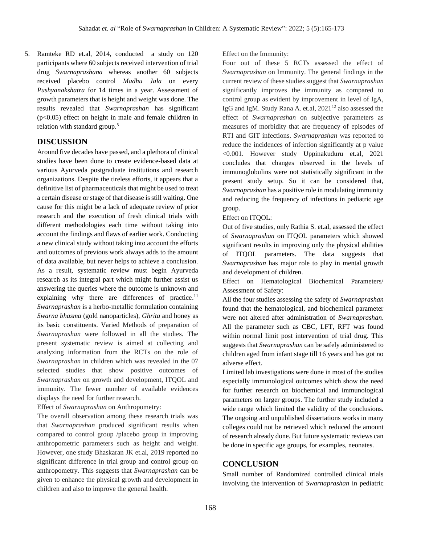5. Ramteke RD et.al, 2014, conducted a study on 120 participants where 60 subjects received intervention of trial drug *Swarnaprashana* whereas another 60 subjects received placebo control *Madhu Jala* on every *Pushyanakshatra* for 14 times in a year. Assessment of growth parameters that is height and weight was done. The results revealed that *Swarnaprashan* has significant (p<0.05) effect on height in male and female children in relation with standard group.<sup>5</sup>

# **DISCUSSION**

Around five decades have passed, and a plethora of clinical studies have been done to create evidence-based data at various Ayurveda postgraduate institutions and research organizations. Despite the tireless efforts, it appears that a definitive list of pharmaceuticals that might be used to treat a certain disease or stage of that disease is still waiting. One cause for this might be a lack of adequate review of prior research and the execution of fresh clinical trials with different methodologies each time without taking into account the findings and flaws of earlier work. Conducting a new clinical study without taking into account the efforts and outcomes of previous work always adds to the amount of data available, but never helps to achieve a conclusion. As a result, systematic review must begin Ayurveda research as its integral part which might further assist us answering the queries where the outcome is unknown and explaining why there are differences of practice.<sup>11</sup> *Swarnaprashan* is a herbo-metallic formulation containing *Swarna bhasma* (gold nanoparticles), *Ghrita* and honey as its basic constituents. Varied Methods of preparation of *Swarnaprashan* were followed in all the studies. The present systematic review is aimed at collecting and analyzing information from the RCTs on the role of *Swarnaprashan* in children which was revealed in the 07 selected studies that show positive outcomes of *Swarnaprashan* on growth and development, ITQOL and immunity. The fewer number of available evidences displays the need for further research.

Effect of *Swarnaprashan* on Anthropometry:

The overall observation among these research trials was that *Swarnaprashan* produced significant results when compared to control group /placebo group in improving anthropometric parameters such as height and weight. However, one study Bhaskaran JK et.al, 2019 reported no significant difference in trial group and control group on anthropometry. This suggests that *Swarnaprashan* can be given to enhance the physical growth and development in children and also to improve the general health.

Effect on the Immunity:

Four out of these 5 RCTs assessed the effect of *Swarnaprashan* on Immunity. The general findings in the current review of these studies suggest that *Swarnaprashan*  significantly improves the immunity as compared to control group as evident by improvement in level of IgA, IgG and IgM. Study Rana A. et.al,  $2021^{12}$  also assessed the effect of *Swarnaprashan* on subjective parameters as measures of morbidity that are frequency of episodes of RTI and GIT infections. *Swarnaprashan* was reported to reduce the incidences of infection significantly at p value <0.001. However study Uppinakuduru et.al, 2021 concludes that changes observed in the levels of immunoglobulins were not statistically significant in the present study setup. So it can be considered that, *Swarnaprashan* has a positive role in modulating immunity and reducing the frequency of infections in pediatric age group.

### Effect on ITQOL:

Out of five studies, only Rathia S. et.al, assessed the effect of *Swarnaprashan* on ITQOL parameters which showed significant results in improving only the physical abilities of ITQOL parameters. The data suggests that *Swarnaprashan* has major role to play in mental growth and development of children.

Effect on Hematological Biochemical Parameters/ Assessment of Safety:

All the four studies assessing the safety of *Swarnaprashan*  found that the hematological, and biochemical parameter were not altered after administration of *Swarnaprashan*. All the parameter such as CBC, LFT, RFT was found within normal limit post intervention of trial drug. This suggests that *Swarnaprashan* can be safely administered to children aged from infant stage till 16 years and has got no adverse effect.

Limited lab investigations were done in most of the studies especially immunological outcomes which show the need for further research on biochemical and immunological parameters on larger groups. The further study included a wide range which limited the validity of the conclusions. The ongoing and unpublished dissertations works in many colleges could not be retrieved which reduced the amount of research already done. But future systematic reviews can be done in specific age groups, for examples, neonates.

# **CONCLUSION**

Small number of Randomized controlled clinical trials involving the intervention of *Swarnaprashan* in pediatric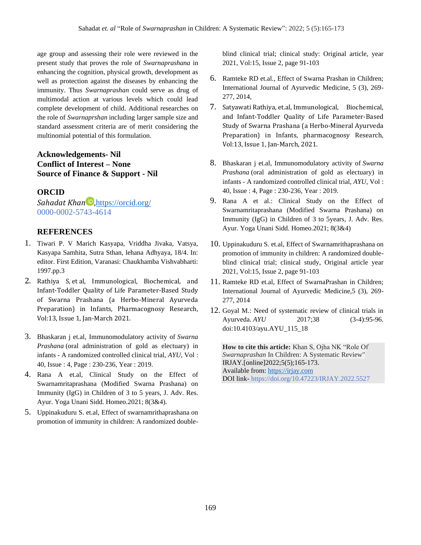age group and assessing their role were reviewed in the present study that proves the role of *Swarnaprashana* in enhancing the cognition, physical growth, development as well as protection against the diseases by enhancing the immunity. Thus *Swarnaprashan* could serve as drug of multimodal action at various levels which could lead complete development of child. Additional researches on the role of *Swarnaprshan* including larger sample size and standard assessment criteria are of merit considering the multinomial potential of this formulation.

# **Acknowledgements- Nil Conflict of Interest – None Source of Finance & Support - Nil**

### **ORCID**

*Sahadat Khan* D, <https://orcid.org/> 0000-0002-5743-4614

# **REFERENCES**

- 1. Tiwari P. V Marich Kasyapa, Vriddha Jivaka, Vatsya, Kasyapa Samhita, Sutra Sthan, lehana Adhyaya, 18/4. In: editor. First Edition, Varanasi: Chaukhamba Vishvabharti: 1997.pp.3
- 2. Rathiya S, et al, Immunological, Biochemical, and Infant-Toddler Quality of Life Parameter-Based Study of Swarna Prashana (a Herbo-Mineral Ayurveda Preparation) in Infants, Pharmacognosy Research, Vol:13, Issue 1, Jan-March 2021.
- 3. Bhaskaran j et.al, Immunomodulatory activity of *Swarna Prashana* (oral administration of gold as electuary) in infants - A randomized controlled clinical trial, *AYU*, Vol : 40, Issue : 4, Page : 230-236, Year : 2019.
- 4. Rana A et.al, Clinical Study on the Effect of Swarnamritaprashana (Modified Swarna Prashana) on Immunity (IgG) in Children of 3 to 5 years, J. Adv. Res. Ayur. Yoga Unani Sidd. Homeo.2021; 8(3&4).
- 5. Uppinakuduru S. et.al, Effect of swarnamrithaprashana on promotion of immunity in children: A randomized double-

blind clinical trial; clinical study: Original article, year 2021, Vol:15, Issue 2, page 91-103

- 6. Ramteke RD et.al., Effect of Swarna Prashan in Children; International Journal of Ayurvedic Medicine, 5 (3), 269- 277, 2014,
- 7. Satyawati Rathiya, et.al, Immunological, Biochemical, and Infant-Toddler Quality of Life Parameter-Based Study of Swarna Prashana (a Herbo-Mineral Ayurveda Preparation) in Infants, pharmacognosy Research, Vol:13, Issue 1, Jan-March, 2021.
- 8. Bhaskaran j et.al, Immunomodulatory activity of *Swarna Prashana* (oral administration of gold as electuary) in infants - A randomized controlled clinical trial, *AYU*, Vol : 40, Issue : 4, Page : 230-236, Year : 2019.
- 9. Rana A et al.: Clinical Study on the Effect of Swarnamritaprashana (Modified Swarna Prashana) on Immunity (IgG) in Children of 3 to 5years, J. Adv. Res. Ayur. Yoga Unani Sidd. Homeo.2021; 8(3&4)
- 10. Uppinakuduru S. et.al, Effect of Swarnamrithaprashana on promotion of immunity in children: A randomized doubleblind clinical trial; clinical study, Original article year 2021, Vol:15, Issue 2, page 91-103
- 11. Ramteke RD et.al, Effect of SwarnaPrashan in Children; International Journal of Ayurvedic Medicine,5 (3), 269- 277, 2014
- 12. Goyal M.: Need of systematic review of clinical trials in Ayurveda. *AYU* 2017;38 (3-4):95-96. doi:10.4103/ayu.AYU\_115\_18

**How to cite this article:** Khan S, Ojha NK "Role Of *Swarnaprashan* In Children: A Systematic Review" IRJAY.[online]2022;5(5);165-173. Available from: [https://irjay.com](https://irjay.com/) DOI link- https://doi.org/10.47223/IRJAY.2022.5527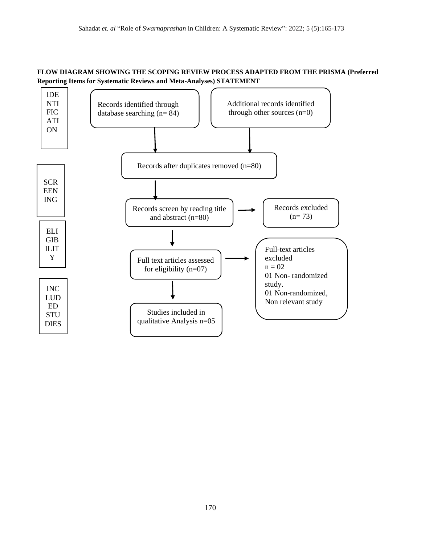# **FLOW DIAGRAM SHOWING THE SCOPING REVIEW PROCESS ADAPTED FROM THE PRISMA (Preferred Reporting Items for Systematic Reviews and Meta-Analyses) STATEMENT**

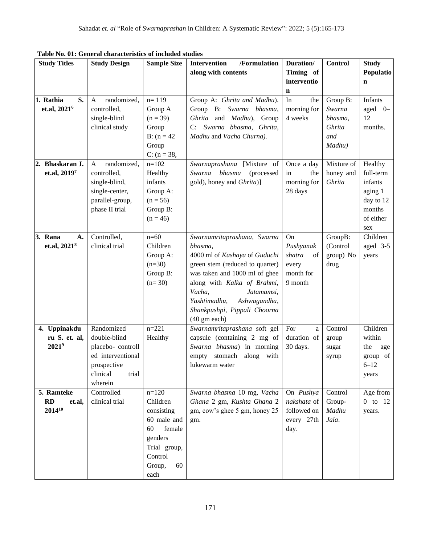| <b>Study Titles</b>                         | Table Tw. 01. General characteristics of included studies<br><b>Study Design</b>                                   | <b>Sample Size</b>                                                                                                             | /Formulation<br>Intervention                                                                                                                                                                                                                                                                 | Duration/                                                        | <b>Control</b>                                           | <b>Study</b>                                                                          |
|---------------------------------------------|--------------------------------------------------------------------------------------------------------------------|--------------------------------------------------------------------------------------------------------------------------------|----------------------------------------------------------------------------------------------------------------------------------------------------------------------------------------------------------------------------------------------------------------------------------------------|------------------------------------------------------------------|----------------------------------------------------------|---------------------------------------------------------------------------------------|
|                                             |                                                                                                                    |                                                                                                                                | along with contents                                                                                                                                                                                                                                                                          | Timing of                                                        |                                                          | Populatio                                                                             |
|                                             |                                                                                                                    |                                                                                                                                |                                                                                                                                                                                                                                                                                              | interventio<br>$\mathbf n$                                       |                                                          | $\mathbf n$                                                                           |
| 1. Rathia<br>S.<br>et.al, 2021 <sup>6</sup> | randomized,<br>A<br>controlled,<br>single-blind<br>clinical study                                                  | $n = 119$<br>Group A<br>$(n = 39)$<br>Group<br>$B: (n = 42)$<br>Group<br>$C: (n = 38,$                                         | Group A: Ghrita and Madhu).<br>Group B: Swarna bhasma,<br>Ghrita and Madhu), Group<br>Swarna bhasma, Ghrita,<br>C:<br>Madhu and Vacha Churna).                                                                                                                                               | In<br>the<br>morning for<br>4 weeks                              | Group B:<br>Swarna<br>bhasma,<br>Ghrita<br>and<br>Madhu) | Infants<br>aged 0-<br>12<br>months.                                                   |
| 2. Bhaskaran J.<br>et.al, 20197             | randomized,<br>A<br>controlled,<br>single-blind,<br>single-center,<br>parallel-group,<br>phase II trial            | $n=102$<br>Healthy<br>infants<br>Group A:<br>$(n = 56)$<br>Group B:<br>$(n = 46)$                                              | Swarnaprashana [Mixture of<br>Swarna<br>bhasma<br>(processed<br>gold), honey and Ghrita)]                                                                                                                                                                                                    | Once a day<br>in<br>the<br>morning for<br>28 days                | Mixture of<br>honey and<br>Ghrita                        | Healthy<br>full-term<br>infants<br>aging 1<br>day to 12<br>months<br>of either<br>sex |
| 3. Rana<br>A.<br>et.al, 2021 <sup>8</sup>   | Controlled,<br>clinical trial                                                                                      | $n=60$<br>Children<br>Group A:<br>$(n=30)$<br>Group B:<br>$(n=30)$                                                             | Swarnamritaprashana, Swarna<br>bhasma,<br>4000 ml of Kashaya of Guduchi<br>green stem (reduced to quarter)<br>was taken and 1000 ml of ghee<br>along with Kalka of Brahmi,<br>Vacha,<br>Jatamamsi,<br>Yashtimadhu,<br>Ashwagandha,<br>Shankpushpi, Pippali Choorna<br>$(40 \text{ gm each})$ | On<br>Pushyanak<br>shatra<br>of<br>every<br>month for<br>9 month | GroupB:<br>(Control<br>group) No<br>drug                 | Children<br>aged 3-5<br>years                                                         |
| 4. Uppinakdu<br>ru S. et. al,<br>$2021^9$   | Randomized<br>double-blind<br>placebo-controll<br>ed interventional<br>prospective<br>clinical<br>trial<br>wherein | $n = 221$<br>Healthy                                                                                                           | Swarnamritaprashana soft gel<br>capsule (containing 2 mg of<br>Swarna bhasma) in morning<br>empty stomach along with<br>lukewarm water                                                                                                                                                       | For<br>a<br>duration of<br>30 days.                              | Control<br>group<br>sugar<br>syrup                       | Children<br>within<br>the<br>age<br>group of<br>$6 - 12$<br>years                     |
| 5. Ramteke<br>RD<br>et.al,<br>$2014^{10}$   | Controlled<br>clinical trial                                                                                       | $n=120$<br>Children<br>consisting<br>60 male and<br>60<br>female<br>genders<br>Trial group,<br>Control<br>Group, $-60$<br>each | Swarna bhasma 10 mg, Vacha<br>Ghana 2 gm, Kushta Ghana 2<br>gm, cow's ghee 5 gm, honey 25<br>gm.                                                                                                                                                                                             | On Pushya<br>nakshata of<br>followed on<br>every 27th<br>day.    | Control<br>Group-<br>Madhu<br>Jala.                      | Age from<br>$0$ to $12$<br>years.                                                     |

**Table No. 01: General characteristics of included studies**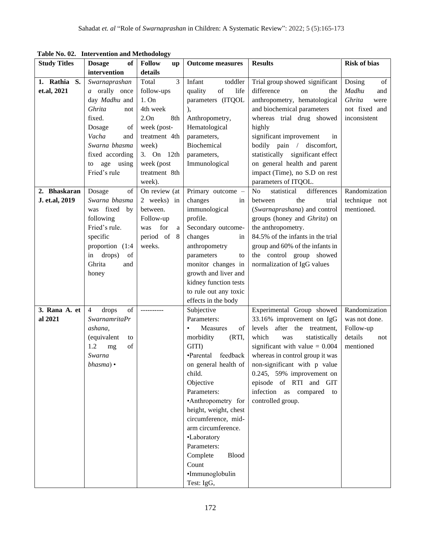| <b>Study Titles</b> | rabie ivo. 02. Thiervention and iviethodology<br>of | <b>Follow</b>        | <b>Outcome measures</b>     | <b>Results</b>                               | <b>Risk of bias</b> |
|---------------------|-----------------------------------------------------|----------------------|-----------------------------|----------------------------------------------|---------------------|
|                     | <b>Dosage</b><br>intervention                       | <b>up</b><br>details |                             |                                              |                     |
|                     |                                                     | 3                    | Infant                      |                                              |                     |
| 1. Rathia S.        | Swarnaprashan                                       | Total                | toddler                     | Trial group showed significant<br>difference | Dosing<br>of        |
| et.al, 2021         | a orally once                                       | follow-ups           | quality<br>of<br>life       | on<br>the                                    | Madhu<br>and        |
|                     | day Madhu and                                       | 1. On                | parameters (ITQOL           | anthropometry, hematological                 | Ghrita<br>were      |
|                     | Ghrita<br>not                                       | 4th week             | $\mathbf{L}$                | and biochemical parameters                   | not fixed and       |
|                     | fixed.                                              | 2.0n<br>8th          | Anthropometry,              | whereas trial drug showed                    | inconsistent        |
|                     | Dosage<br>of                                        | week (post-          | Hematological               | highly                                       |                     |
|                     | Vacha<br>and                                        | treatment 4th        | parameters,                 | significant improvement<br>in                |                     |
|                     | Swarna bhasma                                       | week)                | Biochemical                 | bodily pain / discomfort,                    |                     |
|                     | fixed according                                     | 3. On 12th           | parameters,                 | statistically significant effect             |                     |
|                     | using<br>age<br>to                                  | week (post           | Immunological               | on general health and parent                 |                     |
|                     | Fried's rule                                        | treatment 8th        |                             | impact (Time), no S.D on rest                |                     |
|                     |                                                     | week).               |                             | parameters of ITQOL.                         |                     |
| 2. Bhaskaran        | Dosage<br>of                                        | On review (at        | Primary outcome -           | differences<br>N <sub>o</sub><br>statistical | Randomization       |
| J. et.al, 2019      | Swarna bhasma                                       | 2 weeks) in          | changes<br>in               | the<br>trial<br>between                      | technique not       |
|                     | was fixed by                                        | between.             | immunological               | (Swarnaprashana) and control                 | mentioned.          |
|                     | following                                           | Follow-up            | profile.                    | groups (honey and Ghrita) on                 |                     |
|                     | Fried's rule.                                       | was<br>for<br>a      | Secondary outcome-          | the anthropometry.                           |                     |
|                     | specific                                            | period of 8          | changes<br>in               | 84.5% of the infants in the trial            |                     |
|                     | proportion (1:4)                                    | weeks.               | anthropometry               | group and 60% of the infants in              |                     |
|                     | drops)<br>of<br>in                                  |                      | parameters<br>to            | the control group showed                     |                     |
|                     | Ghrita<br>and                                       |                      | monitor changes in          | normalization of IgG values                  |                     |
|                     | honey                                               |                      | growth and liver and        |                                              |                     |
|                     |                                                     |                      | kidney function tests       |                                              |                     |
|                     |                                                     |                      | to rule out any toxic       |                                              |                     |
|                     |                                                     |                      | effects in the body         |                                              |                     |
| 3. Rana A. et       | $_{\mathrm{of}}$<br>$\overline{4}$<br>drops         |                      | Subjective                  | Experimental Group showed                    | Randomization       |
| al 2021             | <b>SwarnamritaPr</b>                                |                      | Parameters:                 | 33.16% improvement on IgG                    | was not done.       |
|                     | ashana,                                             |                      | of<br>Measures<br>$\bullet$ | after the treatment,<br>levels               | Follow-up           |
|                     | (equivalent<br>to                                   |                      | morbidity<br>(RTI,          | which<br>statistically<br>was                | details<br>not      |
|                     | 1.2<br>of<br>mg                                     |                      | GITI)                       | significant with value $= 0.004$             | mentioned           |
|                     | Swarna                                              |                      | •Parental feedback          | whereas in control group it was              |                     |
|                     | $bhasma)$ •                                         |                      | on general health of        | non-significant with p value                 |                     |
|                     |                                                     |                      | child.                      | 0.245, 59% improvement on                    |                     |
|                     |                                                     |                      | Objective                   | episode of RTI and GIT                       |                     |
|                     |                                                     |                      | Parameters:                 | infection as compared to                     |                     |
|                     |                                                     |                      | •Anthropometry for          | controlled group.                            |                     |
|                     |                                                     |                      | height, weight, chest       |                                              |                     |
|                     |                                                     |                      | circumference, mid-         |                                              |                     |
|                     |                                                     |                      | arm circumference.          |                                              |                     |
|                     |                                                     |                      | •Laboratory                 |                                              |                     |
|                     |                                                     |                      | Parameters:                 |                                              |                     |
|                     |                                                     |                      | Complete<br><b>Blood</b>    |                                              |                     |
|                     |                                                     |                      | Count                       |                                              |                     |
|                     |                                                     |                      | ·Immunoglobulin             |                                              |                     |
|                     |                                                     |                      | Test: IgG,                  |                                              |                     |

**Table No. 02. Intervention and Methodology**